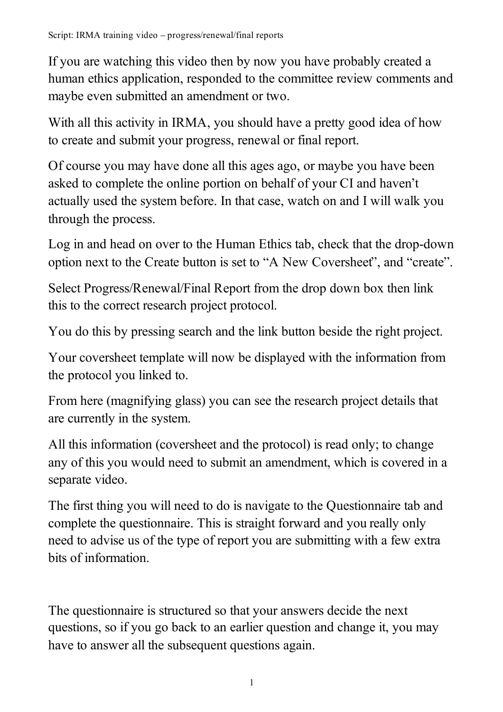If you are watching this video then by now you have probably created a human ethics application, responded to the committee review comments and maybe even submitted an amendment or two.

With all this activity in IRMA, you should have a pretty good idea of how to create and submit your progress, renewal or final report.

Of course you may have done all this ages ago, or maybe you have been asked to complete the online portion on behalf of your CI and haven't actually used the system before. In that case, watch on and I will walk you through the process.

Log in and head on over to the Human Ethics tab, check that the drop-down option next to the Create button is set to "A New Coversheet", and "create".

Select Progress/Renewal/Final Report from the drop down box then link this to the correct research project protocol.

You do this by pressing search and the link button beside the right project.

Your coversheet template will now be displayed with the information from the protocol you linked to.

From here (magnifying glass) you can see the research project details that are currently in the system.

All this information (coversheet and the protocol) is read only; to change any of this you would need to submit an amendment, which is covered in a separate video.

The first thing you will need to do is navigate to the Questionnaire tab and complete the questionnaire. This is straight forward and you really only need to advise us of the type of report you are submitting with a few extra bits of information.

The questionnaire is structured so that your answers decide the next questions, so if you go back to an earlier question and change it, you may have to answer all the subsequent questions again.